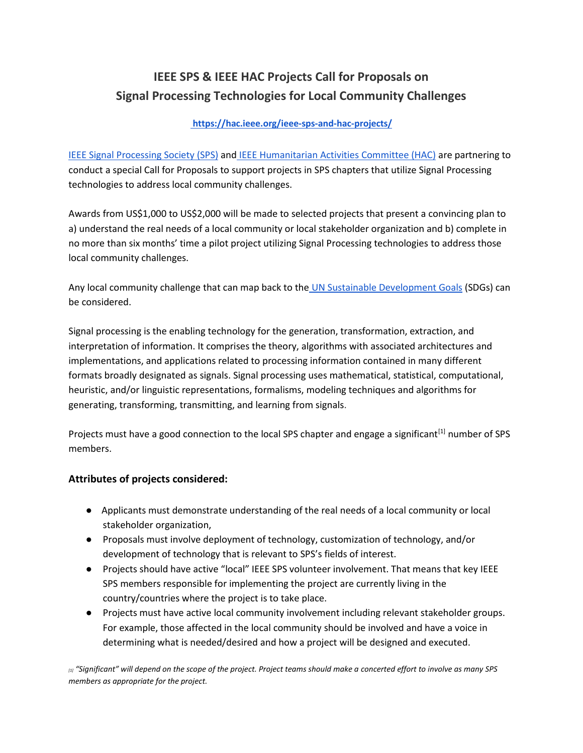# **IEEE SPS & IEEE HAC Projects Call for Proposals on Signal Processing Technologies for Local Community Challenges**

# **<https://hac.ieee.org/ieee-sps-and-hac-projects/>**

[IEEE Signal Processing Society \(SPS\)](https://signalprocessingsociety.org/) and [IEEE Humanitarian Activities Committee \(HAC\)](https://hac.ieee.org/) are partnering to conduct a special Call for Proposals to support projects in SPS chapters that utilize Signal Processing technologies to address local community challenges.

Awards from US\$1,000 to US\$2,000 will be made to selected projects that present a convincing plan to a) understand the real needs of a local community or local stakeholder organization and b) complete in no more than six months' time a pilot project utilizing Signal Processing technologies to address those local community challenges.

Any local community challenge that can map back to the [UN Sustainable Development Goals](https://sdgs.un.org/goals) (SDGs) can be considered.

Signal processing is the enabling technology for the generation, transformation, extraction, and interpretation of information. It comprises the theory, algorithms with associated architectures and implementations, and applications related to processing information contained in many different formats broadly designated as signals. Signal processing uses mathematical, statistical, computational, heuristic, and/or linguistic representations, formalisms, modeling techniques and algorithms for generating, transforming, transmitting, and learning from signals.

Projects must have a good connection to the local SPS chapter and engage a significant<sup>[1]</sup> number of SPS members.

# **Attributes of projects considered:**

- Applicants must demonstrate understanding of the real needs of a local community or local stakeholder organization,
- Proposals must involve deployment of technology, customization of technology, and/or development of technology that is relevant to SPS's fields of interest.
- Projects should have active "local" IEEE SPS volunteer involvement. That means that key IEEE SPS members responsible for implementing the project are currently living in the country/countries where the project is to take place.
- Projects must have active local community involvement including relevant stakeholder groups. For example, those affected in the local community should be involved and have a voice in determining what is needed/desired and how a project will be designed and executed.

*[1] "Significant" will depend on the scope of the project. Project teams should make a concerted effort to involve as many SPS members as appropriate for the project.*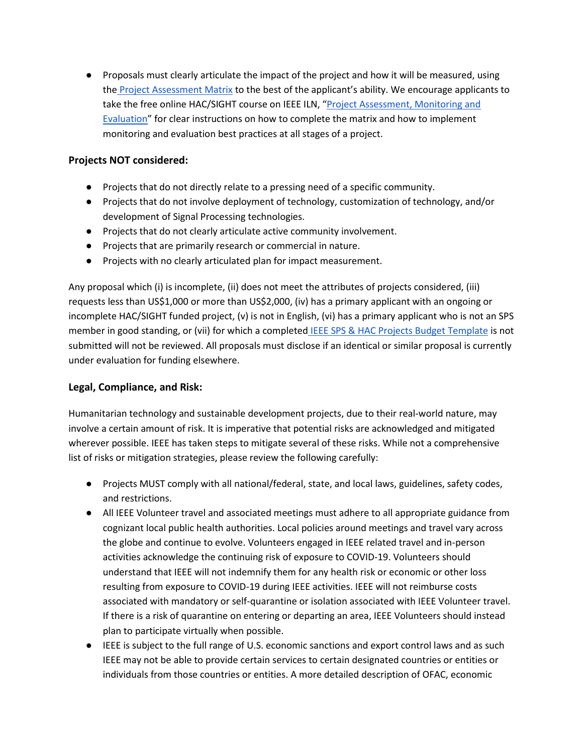● Proposals must clearly articulate the impact of the project and how it will be measured, using the [Project Assessment Matrix](https://docs.google.com/spreadsheets/d/1CHMcyVRgoARrtNTvS3El9AKlUO_ufFMH/edit?usp=sharing&ouid=117851940966758047948&rtpof=true&sd=true) to the best of the applicant's ability. We encourage applicants to take the free online HAC/SIGHT course on IEEE ILN, "Project Assessment, Monitoring and [Evaluation](https://iln.ieee.org/public/contentdetails.aspx?id=FF0759FA80F24542B76C79E0B73955F7)" for clear instructions on how to complete the matrix and how to implement monitoring and evaluation best practices at all stages of a project.

# **Projects NOT considered:**

- Projects that do not directly relate to a pressing need of a specific community.
- Projects that do not involve deployment of technology, customization of technology, and/or development of Signal Processing technologies.
- Projects that do not clearly articulate active community involvement.
- Projects that are primarily research or commercial in nature.
- Projects with no clearly articulated plan for impact measurement.

Any proposal which (i) is incomplete, (ii) does not meet the attributes of projects considered, (iii) requests less than US\$1,000 or more than US\$2,000, (iv) has a primary applicant with an ongoing or incomplete HAC/SIGHT funded project, (v) is not in English, (vi) has a primary applicant who is not an SPS member in good standing, or (vii) for which a complete[d](https://docs.google.com/spreadsheets/d/1etG65EC-qdqk7Bl98x2c7NUc0KxCafos/edit?usp=sharing&ouid=117851940966758047948&rtpof=true&sd=true) [IEEE SPS & HAC Projects Budget Template](https://docs.google.com/spreadsheets/d/1etG65EC-qdqk7Bl98x2c7NUc0KxCafos/edit?usp=sharing&ouid=117851940966758047948&rtpof=true&sd=true) is not submitted will not be reviewed. All proposals must disclose if an identical or similar proposal is currently under evaluation for funding elsewhere.

# **Legal, Compliance, and Risk:**

Humanitarian technology and sustainable development projects, due to their real-world nature, may involve a certain amount of risk. It is imperative that potential risks are acknowledged and mitigated wherever possible. IEEE has taken steps to mitigate several of these risks. While not a comprehensive list of risks or mitigation strategies, please review the following carefully:

- Projects MUST comply with all national/federal, state, and local laws, guidelines, safety codes, and restrictions.
- All IEEE Volunteer travel and associated meetings must adhere to all appropriate guidance from cognizant local public health authorities. Local policies around meetings and travel vary across the globe and continue to evolve. Volunteers engaged in IEEE related travel and in-person activities acknowledge the continuing risk of exposure to COVID-19. Volunteers should understand that IEEE will not indemnify them for any health risk or economic or other loss resulting from exposure to COVID-19 during IEEE activities. IEEE will not reimburse costs associated with mandatory or self-quarantine or isolation associated with IEEE Volunteer travel. If there is a risk of quarantine on entering or departing an area, IEEE Volunteers should instead plan to participate virtually when possible.
- IEEE is subject to the full range of U.S. economic sanctions and export control laws and as such IEEE may not be able to provide certain services to certain designated countries or entities or individuals from those countries or entities. A more detailed description of OFAC, economic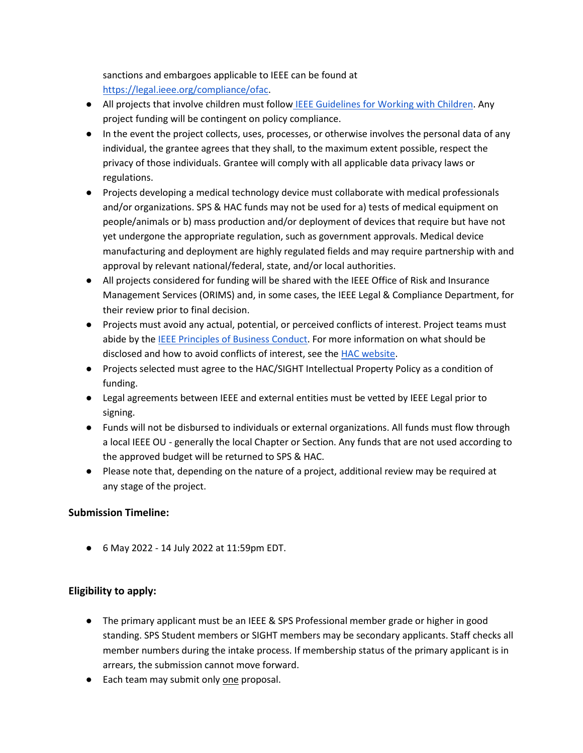sanctions and embargoes applicable to IEEE can be found at [https://legal.ieee.org/compliance/ofac.](https://legal.ieee.org/compliance/ofac)

- All projects that involve children must follow [IEEE Guidelines for Working with Children.](https://www.ieee.org/about/volunteers/risk-insurance/ieee-activities-with-children.html) Any project funding will be contingent on policy compliance.
- In the event the project collects, uses, processes, or otherwise involves the personal data of any individual, the grantee agrees that they shall, to the maximum extent possible, respect the privacy of those individuals. Grantee will comply with all applicable data privacy laws or regulations.
- Projects developing a medical technology device must collaborate with medical professionals and/or organizations. SPS & HAC funds may not be used for a) tests of medical equipment on people/animals or b) mass production and/or deployment of devices that require but have not yet undergone the appropriate regulation, such as government approvals. Medical device manufacturing and deployment are highly regulated fields and may require partnership with and approval by relevant national/federal, state, and/or local authorities.
- All projects considered for funding will be shared with the IEEE Office of Risk and Insurance Management Services (ORIMS) and, in some cases, the IEEE Legal & Compliance Department, for their review prior to final decision.
- Projects must avoid any actual, potential, or perceived conflicts of interest. Project teams must abide by the **IEEE Principles of Business Conduct**. For more information on what should be disclosed and how to avoid conflicts of interest, see the [HAC website.](https://hac.ieee.org/about/conflict-of-interest/)
- Projects selected must agree to the HAC/SIGHT Intellectual Property Policy as a condition of funding.
- Legal agreements between IEEE and external entities must be vetted by IEEE Legal prior to signing.
- Funds will not be disbursed to individuals or external organizations. All funds must flow through a local IEEE OU - generally the local Chapter or Section. Any funds that are not used according to the approved budget will be returned to SPS & HAC.
- Please note that, depending on the nature of a project, additional review may be required at any stage of the project.

# **Submission Timeline:**

● 6 May 2022 - 14 July 2022 at 11:59pm EDT.

# **Eligibility to apply:**

- The primary applicant must be an IEEE & SPS Professional member grade or higher in good standing. SPS Student members or SIGHT members may be secondary applicants. Staff checks all member numbers during the intake process. If membership status of the primary applicant is in arrears, the submission cannot move forward.
- Each team may submit only one proposal.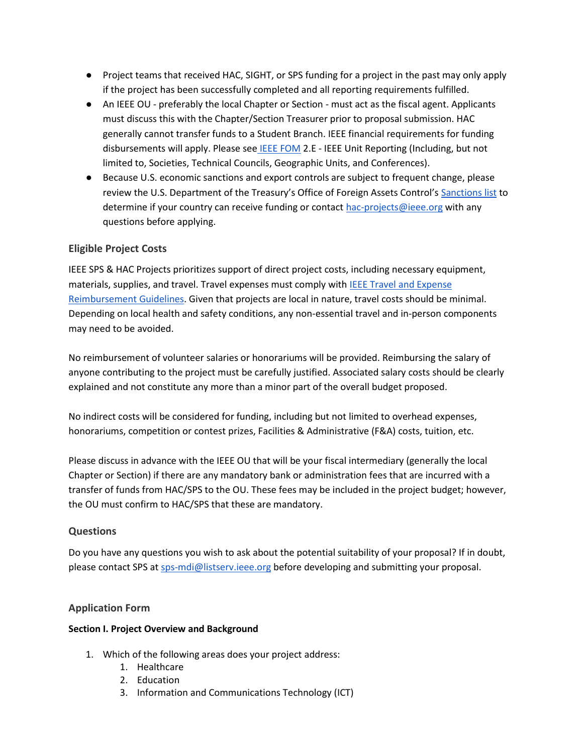- Project teams that received HAC, SIGHT, or SPS funding for a project in the past may only apply if the project has been successfully completed and all reporting requirements fulfilled.
- An IEEE OU preferably the local Chapter or Section must act as the fiscal agent. Applicants must discuss this with the Chapter/Section Treasurer prior to proposal submission. HAC generally cannot transfer funds to a Student Branch. IEEE financial requirements for funding disbursements will apply. Please see **[IEEE FOM](https://www.ieee.org/content/dam/ieee-org/ieee/web/org/financial-ops-manual.pdf) 2.E - IEEE Unit Reporting (Including**, but not limited to, Societies, Technical Councils, Geographic Units, and Conferences).
- Because U.S. economic sanctions and export controls are subject to frequent change, please review the U.S. Department of the Treasury's Office of Foreign Assets Control's [Sanctions list](https://www.treasury.gov/resource-center/sanctions/pages/default.aspx) to determine if your country can receive funding or contact [hac-projects@ieee.org](mailto:hac-projects@ieee.org) with any questions before applying.

# **Eligible Project Costs**

IEEE SPS & HAC Projects prioritizes support of direct project costs, including necessary equipment, materials, supplies, and travel. Travel expenses must comply with [IEEE Travel and Expense](https://www.ieee.org/content/dam/ieee-org/ieee/web/org/travel-expense-reimbursement-guidelines.pdf)  [Reimbursement Guidelines.](https://www.ieee.org/content/dam/ieee-org/ieee/web/org/travel-expense-reimbursement-guidelines.pdf) Given that projects are local in nature, travel costs should be minimal. Depending on local health and safety conditions, any non-essential travel and in-person components may need to be avoided.

No reimbursement of volunteer salaries or honorariums will be provided. Reimbursing the salary of anyone contributing to the project must be carefully justified. Associated salary costs should be clearly explained and not constitute any more than a minor part of the overall budget proposed.

No indirect costs will be considered for funding, including but not limited to overhead expenses, honorariums, competition or contest prizes, Facilities & Administrative (F&A) costs, tuition, etc.

Please discuss in advance with the IEEE OU that will be your fiscal intermediary (generally the local Chapter or Section) if there are any mandatory bank or administration fees that are incurred with a transfer of funds from HAC/SPS to the OU. These fees may be included in the project budget; however, the OU must confirm to HAC/SPS that these are mandatory.

## **Questions**

Do you have any questions you wish to ask about the potential suitability of your proposal? If in doubt, please contact SPS at [sps-mdi@listserv.ieee.org](mailto:sps-mdi@listserv.ieee.org) before developing and submitting your proposal.

## **Application Form**

## **Section I. Project Overview and Background**

- 1. Which of the following areas does your project address:
	- 1. Healthcare
	- 2. Education
	- 3. Information and Communications Technology (ICT)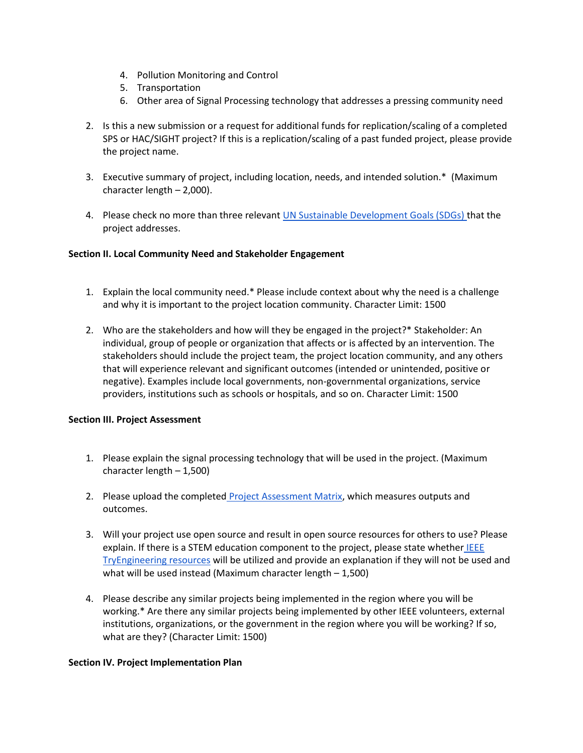- 4. Pollution Monitoring and Control
- 5. Transportation
- 6. Other area of Signal Processing technology that addresses a pressing community need
- 2. Is this a new submission or a request for additional funds for replication/scaling of a completed SPS or HAC/SIGHT project? If this is a replication/scaling of a past funded project, please provide the project name.
- 3. Executive summary of project, including location, needs, and intended solution.\* (Maximum character length – 2,000).
- 4. Please check no more than three relevant [UN Sustainable Development Goals \(SDGs\) t](https://www.un.org/sustainabledevelopment/sustainable-development-goals/)hat the project addresses.

### **Section II. Local Community Need and Stakeholder Engagement**

- 1. Explain the local community need.\* Please include context about why the need is a challenge and why it is important to the project location community. Character Limit: 1500
- 2. Who are the stakeholders and how will they be engaged in the project?\* Stakeholder: An individual, group of people or organization that affects or is affected by an intervention. The stakeholders should include the project team, the project location community, and any others that will experience relevant and significant outcomes (intended or unintended, positive or negative). Examples include local governments, non-governmental organizations, service providers, institutions such as schools or hospitals, and so on. Character Limit: 1500

### **Section III. Project Assessment**

- 1. Please explain the signal processing technology that will be used in the project. (Maximum character length – 1,500)
- 2. Please upload the completed [Project Assessment Matrix,](https://docs.google.com/spreadsheets/d/1CHMcyVRgoARrtNTvS3El9AKlUO_ufFMH/edit?usp=sharing&ouid=117851940966758047948&rtpof=true&sd=true) which measures outputs and outcomes.
- 3. Will your project use open source and result in open source resources for others to use? Please explain. If there is a STEM education component to the project, please state whether IEEE [TryEngineering resources](https://tryengineering.org/) will be utilized and provide an explanation if they will not be used and what will be used instead (Maximum character length – 1,500)
- 4. Please describe any similar projects being implemented in the region where you will be working.\* Are there any similar projects being implemented by other IEEE volunteers, external institutions, organizations, or the government in the region where you will be working? If so, what are they? (Character Limit: 1500)

### **Section IV. Project Implementation Plan**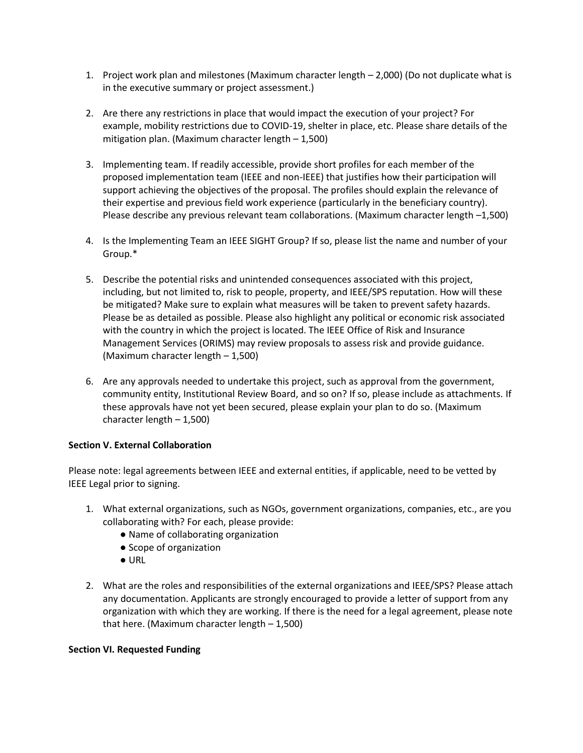- 1. Project work plan and milestones (Maximum character length 2,000) (Do not duplicate what is in the executive summary or project assessment.)
- 2. Are there any restrictions in place that would impact the execution of your project? For example, mobility restrictions due to COVID-19, shelter in place, etc. Please share details of the mitigation plan. (Maximum character length – 1,500)
- 3. Implementing team. If readily accessible, provide short profiles for each member of the proposed implementation team (IEEE and non-IEEE) that justifies how their participation will support achieving the objectives of the proposal. The profiles should explain the relevance of their expertise and previous field work experience (particularly in the beneficiary country). Please describe any previous relevant team collaborations. (Maximum character length –1,500)
- 4. Is the Implementing Team an IEEE SIGHT Group? If so, please list the name and number of your Group.\*
- 5. Describe the potential risks and unintended consequences associated with this project, including, but not limited to, risk to people, property, and IEEE/SPS reputation. How will these be mitigated? Make sure to explain what measures will be taken to prevent safety hazards. Please be as detailed as possible. Please also highlight any political or economic risk associated with the country in which the project is located. The IEEE Office of Risk and Insurance Management Services (ORIMS) may review proposals to assess risk and provide guidance. (Maximum character length – 1,500)
- 6. Are any approvals needed to undertake this project, such as approval from the government, community entity, Institutional Review Board, and so on? If so, please include as attachments. If these approvals have not yet been secured, please explain your plan to do so. (Maximum character length – 1,500)

### **Section V. External Collaboration**

Please note: legal agreements between IEEE and external entities, if applicable, need to be vetted by IEEE Legal prior to signing.

- 1. What external organizations, such as NGOs, government organizations, companies, etc., are you collaborating with? For each, please provide:
	- Name of collaborating organization
	- Scope of organization
	- URL
- 2. What are the roles and responsibilities of the external organizations and IEEE/SPS? Please attach any documentation. Applicants are strongly encouraged to provide a letter of support from any organization with which they are working. If there is the need for a legal agreement, please note that here. (Maximum character length  $-1,500$ )

### **Section VI. Requested Funding**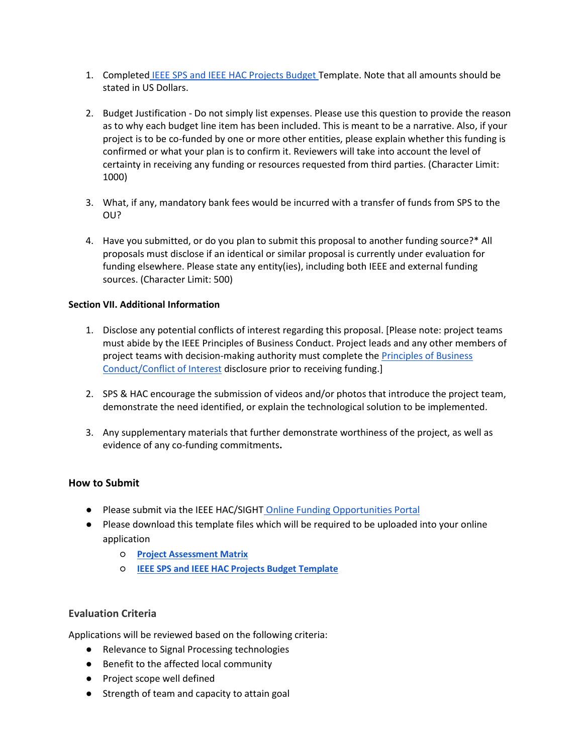- 1. Completed [IEEE SPS and IEEE HAC Projects Budget T](https://docs.google.com/spreadsheets/d/1etG65EC-qdqk7Bl98x2c7NUc0KxCafos/edit?usp=sharing&ouid=117851940966758047948&rtpof=true&sd=true)emplate. Note that all amounts should be stated in US Dollars.
- 2. Budget Justification Do not simply list expenses. Please use this question to provide the reason as to why each budget line item has been included. This is meant to be a narrative. Also, if your project is to be co-funded by one or more other entities, please explain whether this funding is confirmed or what your plan is to confirm it. Reviewers will take into account the level of certainty in receiving any funding or resources requested from third parties. (Character Limit: 1000)
- 3. What, if any, mandatory bank fees would be incurred with a transfer of funds from SPS to the OU?
- 4. Have you submitted, or do you plan to submit this proposal to another funding source?\* All proposals must disclose if an identical or similar proposal is currently under evaluation for funding elsewhere. Please state any entity(ies), including both IEEE and external funding sources. (Character Limit: 500)

### **Section VII. Additional Information**

- 1. Disclose any potential conflicts of interest regarding this proposal. [Please note: project teams must abide by the IEEE Principles of Business Conduct. Project leads and any other members of project teams with decision-making authority must complete the Principles of Business [Conduct/Conflict of Interest](https://www.ieee.org/about/compliance/conflict-of-interest/coiandpob.html#:~:text=The%20IEEE%20Principles%20of%20Business,employees%2C%20when%20conducting%20IEEE%20business.) disclosure prior to receiving funding.]
- 2. SPS & HAC encourage the submission of videos and/or photos that introduce the project team, demonstrate the need identified, or explain the technological solution to be implemented.
- 3. Any supplementary materials that further demonstrate worthiness of the project, as well as evidence of any co-funding commitments**.**

## **How to Submit**

- Please submit via the IEEE HAC/SIGHT [Online Funding Opportunities Portal](https://www.grantinterface.com/Home/Logon?urlkey=ieeecorporate)
- Please download this template files which will be required to be uploaded into your online application
	- **[Project Assessment Matrix](https://docs.google.com/spreadsheets/d/1CHMcyVRgoARrtNTvS3El9AKlUO_ufFMH/edit?usp=sharing&ouid=117851940966758047948&rtpof=true&sd=true)**
	- **[IEEE SPS and IEEE HAC Projects Budget T](https://docs.google.com/spreadsheets/d/1etG65EC-qdqk7Bl98x2c7NUc0KxCafos/edit?usp=sharing&ouid=117851940966758047948&rtpof=true&sd=true)emplate**

## **Evaluation Criteria**

Applications will be reviewed based on the following criteria:

- Relevance to Signal Processing technologies
- Benefit to the affected local community
- Project scope well defined
- Strength of team and capacity to attain goal